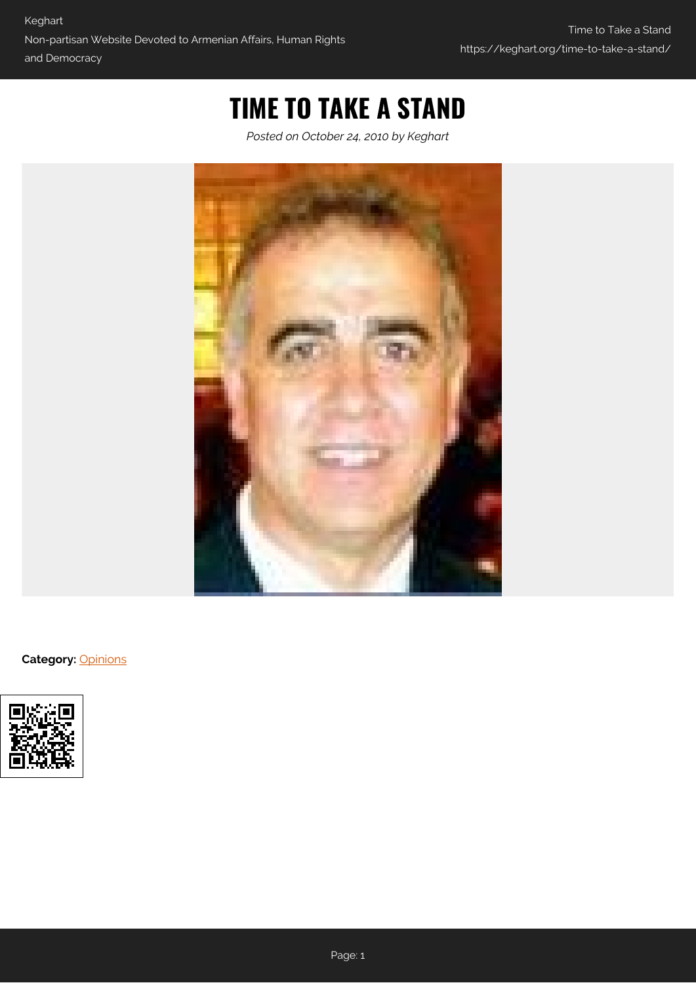# **TIME TO TAKE A STAND**

*Posted on October 24, 2010 by Keghart*



**Category:** [Opinions](https://keghart.org/category/opinions/)

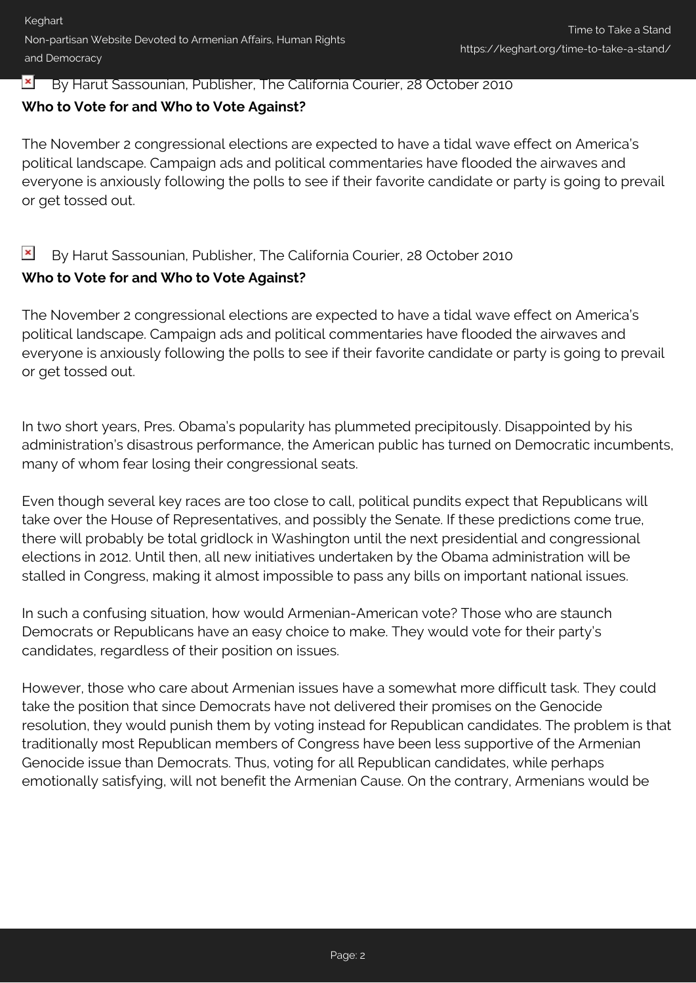#### $\mathbf{x}$ By Harut Sassounian, Publisher, The California Courier, 28 October 2010

### **Who to Vote for and Who to Vote Against?**

The November 2 congressional elections are expected to have a tidal wave effect on America's political landscape. Campaign ads and political commentaries have flooded the airwaves and everyone is anxiously following the polls to see if their favorite candidate or party is going to prevail or get tossed out.

#### $\pmb{\times}$ By Harut Sassounian, Publisher, The California Courier, 28 October 2010

## **Who to Vote for and Who to Vote Against?**

The November 2 congressional elections are expected to have a tidal wave effect on America's political landscape. Campaign ads and political commentaries have flooded the airwaves and everyone is anxiously following the polls to see if their favorite candidate or party is going to prevail or get tossed out.

In two short years, Pres. Obama's popularity has plummeted precipitously. Disappointed by his administration's disastrous performance, the American public has turned on Democratic incumbents, many of whom fear losing their congressional seats.

Even though several key races are too close to call, political pundits expect that Republicans will take over the House of Representatives, and possibly the Senate. If these predictions come true, there will probably be total gridlock in Washington until the next presidential and congressional elections in 2012. Until then, all new initiatives undertaken by the Obama administration will be stalled in Congress, making it almost impossible to pass any bills on important national issues.

In such a confusing situation, how would Armenian-American vote? Those who are staunch Democrats or Republicans have an easy choice to make. They would vote for their party's candidates, regardless of their position on issues.

However, those who care about Armenian issues have a somewhat more difficult task. They could take the position that since Democrats have not delivered their promises on the Genocide resolution, they would punish them by voting instead for Republican candidates. The problem is that traditionally most Republican members of Congress have been less supportive of the Armenian Genocide issue than Democrats. Thus, voting for all Republican candidates, while perhaps emotionally satisfying, will not benefit the Armenian Cause. On the contrary, Armenians would be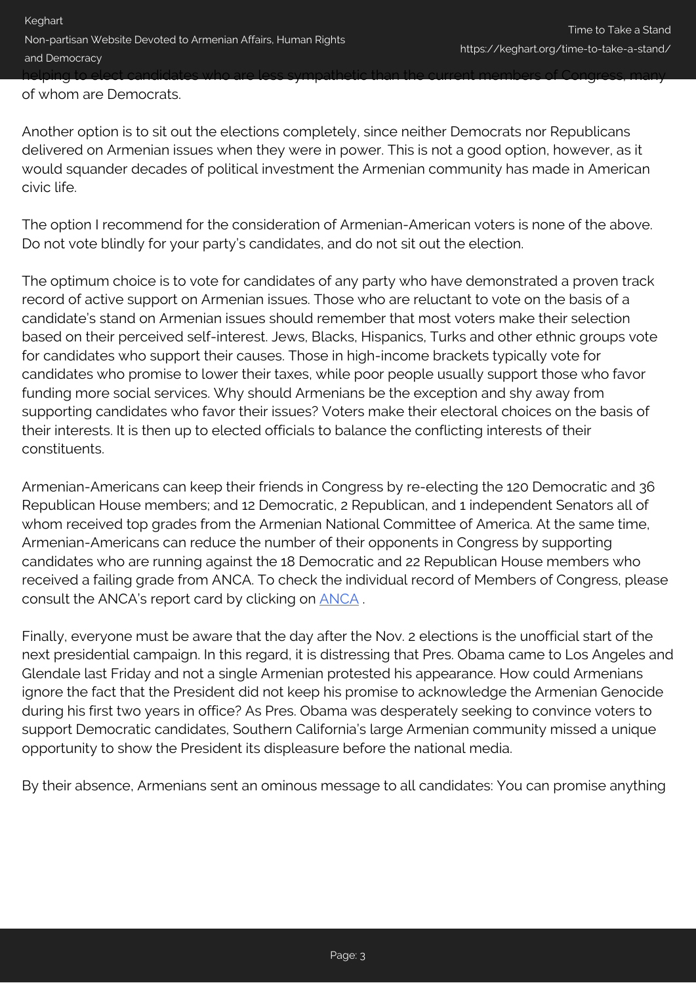of whom are Democrats.

Another option is to sit out the elections completely, since neither Democrats nor Republicans delivered on Armenian issues when they were in power. This is not a good option, however, as it would squander decades of political investment the Armenian community has made in American civic life.

The option I recommend for the consideration of Armenian-American voters is none of the above. Do not vote blindly for your party's candidates, and do not sit out the election.

The optimum choice is to vote for candidates of any party who have demonstrated a proven track record of active support on Armenian issues. Those who are reluctant to vote on the basis of a candidate's stand on Armenian issues should remember that most voters make their selection based on their perceived self-interest. Jews, Blacks, Hispanics, Turks and other ethnic groups vote for candidates who support their causes. Those in high-income brackets typically vote for candidates who promise to lower their taxes, while poor people usually support those who favor funding more social services. Why should Armenians be the exception and shy away from supporting candidates who favor their issues? Voters make their electoral choices on the basis of their interests. It is then up to elected officials to balance the conflicting interests of their constituents.

Armenian-Americans can keep their friends in Congress by re-electing the 120 Democratic and 36 Republican House members; and 12 Democratic, 2 Republican, and 1 independent Senators all of whom received top grades from the Armenian National Committee of America. At the same time, Armenian-Americans can reduce the number of their opponents in Congress by supporting candidates who are running against the 18 Democratic and 22 Republican House members who received a failing grade from ANCA. To check the individual record of Members of Congress, please consult the ANCA's report card by clicking on [ANCA](http://www.anca.org) .

Finally, everyone must be aware that the day after the Nov. 2 elections is the unofficial start of the next presidential campaign. In this regard, it is distressing that Pres. Obama came to Los Angeles and Glendale last Friday and not a single Armenian protested his appearance. How could Armenians ignore the fact that the President did not keep his promise to acknowledge the Armenian Genocide during his first two years in office? As Pres. Obama was desperately seeking to convince voters to support Democratic candidates, Southern California's large Armenian community missed a unique opportunity to show the President its displeasure before the national media.

By their absence, Armenians sent an ominous message to all candidates: You can promise anything